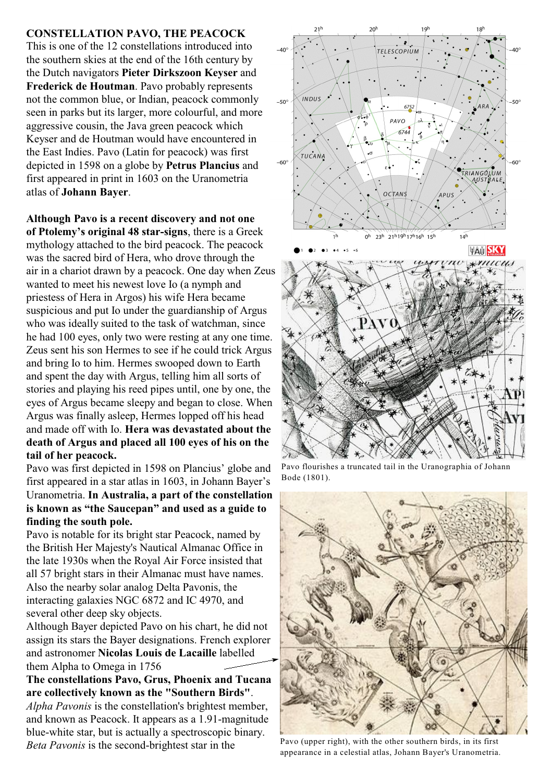## **CONSTELLATION PAVO, THE PEACOCK**

This is one of the 12 constellations introduced into the southern skies at the end of the 16th century by the Dutch navigators **Pieter Dirkszoon Keyser** and **Frederick de Houtman**. Pavo probably represents not the common blue, or Indian, peacock commonly seen in parks but its larger, more colourful, and more aggressive cousin, the Java green peacock which Keyser and de Houtman would have encountered in the East Indies. Pavo (Latin for peacock) was first depicted in 1598 on a globe by **Petrus Plancius** and first appeared in print in 1603 on the Uranometria atlas of **Johann Bayer**.

**Although Pavo is a recent discovery and not one of Ptolemy's original 48 star-signs**, there is a Greek mythology attached to the bird peacock. The peacock was the sacred bird of Hera, who drove through the air in a chariot drawn by a peacock. One day when Zeus wanted to meet his newest love Io (a nymph and priestess of Hera in Argos) his wife Hera became suspicious and put Io under the guardianship of Argus who was ideally suited to the task of watchman, since he had 100 eyes, only two were resting at any one time. Zeus sent his son Hermes to see if he could trick Argus and bring Io to him. Hermes swooped down to Earth and spent the day with Argus, telling him all sorts of stories and playing his reed pipes until, one by one, the eyes of Argus became sleepy and began to close. When Argus was finally asleep, Hermes lopped off his head and made off with Io. **Hera was devastated about the death of Argus and placed all 100 eyes of his on the tail of her peacock.** 

Pavo was first depicted in 1598 on Plancius' globe and first appeared in a star atlas in 1603, in Johann Bayer's Uranometria. **In Australia, a part of the constellation is known as "the Saucepan" and used as a guide to finding the south pole.**

Pavo is notable for its bright star Peacock, named by the British Her Majesty's Nautical Almanac Office in the late 1930s when the Royal Air Force insisted that all 57 bright stars in their Almanac must have names. Also the nearby solar analog Delta Pavonis, the interacting galaxies NGC 6872 and IC 4970, and several other deep sky objects.

Although Bayer depicted Pavo on his chart, he did not assign its stars the Bayer designations. French explorer and astronomer **Nicolas Louis de Lacaille** labelled them Alpha to Omega in 1756

**The constellations Pavo, Grus, Phoenix and Tucana are collectively known as the "Southern Birds"**.

*Alpha Pavonis* is the constellation's brightest member, and known as Peacock. It appears as a 1.91-magnitude blue-white star, but is actually a spectroscopic binary. *Beta Pavonis* is the second-brightest star in the



Pavo flourishes a truncated tail in the Uranographia of Johann Bode (1801).



Pavo (upper right), with the other southern birds, in its first appearance in a celestial atlas, Johann Bayer's Uranometria.